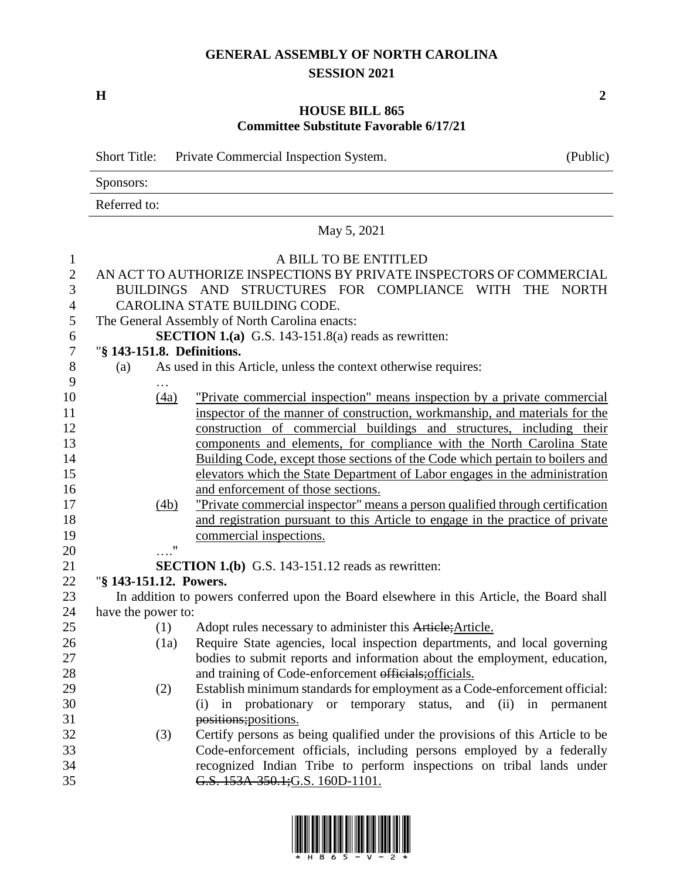## **GENERAL ASSEMBLY OF NORTH CAROLINA SESSION 2021**

**H 2**

### **HOUSE BILL 865 Committee Substitute Favorable 6/17/21**

|                  | <b>Short Title:</b>    |      | Private Commercial Inspection System.                                                     | (Public)     |  |  |  |
|------------------|------------------------|------|-------------------------------------------------------------------------------------------|--------------|--|--|--|
|                  | Sponsors:              |      |                                                                                           |              |  |  |  |
|                  | Referred to:           |      |                                                                                           |              |  |  |  |
|                  |                        |      | May 5, 2021                                                                               |              |  |  |  |
| $\mathbf{1}$     |                        |      | A BILL TO BE ENTITLED                                                                     |              |  |  |  |
| $\sqrt{2}$       |                        |      | AN ACT TO AUTHORIZE INSPECTIONS BY PRIVATE INSPECTORS OF COMMERCIAL                       |              |  |  |  |
| 3                |                        |      | BUILDINGS AND STRUCTURES FOR COMPLIANCE WITH THE                                          | <b>NORTH</b> |  |  |  |
| $\overline{4}$   |                        |      | CAROLINA STATE BUILDING CODE.                                                             |              |  |  |  |
| 5                |                        |      | The General Assembly of North Carolina enacts:                                            |              |  |  |  |
| 6                |                        |      | <b>SECTION 1.(a)</b> G.S. 143-151.8(a) reads as rewritten:                                |              |  |  |  |
| $\boldsymbol{7}$ |                        |      | "§ 143-151.8. Definitions.                                                                |              |  |  |  |
| $8\,$            | (a)                    |      | As used in this Article, unless the context otherwise requires:                           |              |  |  |  |
| 9                |                        | .    |                                                                                           |              |  |  |  |
| 10               |                        | (4a) | "Private commercial inspection" means inspection by a private commercial                  |              |  |  |  |
| 11               |                        |      | inspector of the manner of construction, workmanship, and materials for the               |              |  |  |  |
| 12               |                        |      | construction of commercial buildings and structures, including their                      |              |  |  |  |
| 13               |                        |      | components and elements, for compliance with the North Carolina State                     |              |  |  |  |
| 14               |                        |      | Building Code, except those sections of the Code which pertain to boilers and             |              |  |  |  |
| 15               |                        |      | elevators which the State Department of Labor engages in the administration               |              |  |  |  |
| 16               |                        |      | and enforcement of those sections.                                                        |              |  |  |  |
| 17               |                        | (4b) | "Private commercial inspector" means a person qualified through certification             |              |  |  |  |
| 18               |                        |      | and registration pursuant to this Article to engage in the practice of private            |              |  |  |  |
| 19               |                        |      | commercial inspections.                                                                   |              |  |  |  |
| 20               |                        | 11   |                                                                                           |              |  |  |  |
| 21               |                        |      | <b>SECTION 1.(b)</b> G.S. 143-151.12 reads as rewritten:                                  |              |  |  |  |
| 22               | "§ 143-151.12. Powers. |      |                                                                                           |              |  |  |  |
| 23               |                        |      | In addition to powers conferred upon the Board elsewhere in this Article, the Board shall |              |  |  |  |
| 24               | have the power to:     |      |                                                                                           |              |  |  |  |
| 25               |                        | (1)  | Adopt rules necessary to administer this Article; Article.                                |              |  |  |  |
| 26               |                        |      | (1a) Require State agencies, local inspection departments, and local governing            |              |  |  |  |
| 27               |                        |      | bodies to submit reports and information about the employment, education,                 |              |  |  |  |
| 28               |                        |      | and training of Code-enforcement officials; officials.                                    |              |  |  |  |
| 29               |                        | (2)  | Establish minimum standards for employment as a Code-enforcement official:                |              |  |  |  |
| 30               |                        |      | in probationary or temporary status, and (ii) in permanent<br>(i)                         |              |  |  |  |
| 31               |                        |      | positions; positions.                                                                     |              |  |  |  |
| 32               |                        | (3)  | Certify persons as being qualified under the provisions of this Article to be             |              |  |  |  |
| 33               |                        |      | Code-enforcement officials, including persons employed by a federally                     |              |  |  |  |
| 34               |                        |      | recognized Indian Tribe to perform inspections on tribal lands under                      |              |  |  |  |
| 35               |                        |      | G.S. 153A-350.1;G.S. 160D-1101.                                                           |              |  |  |  |

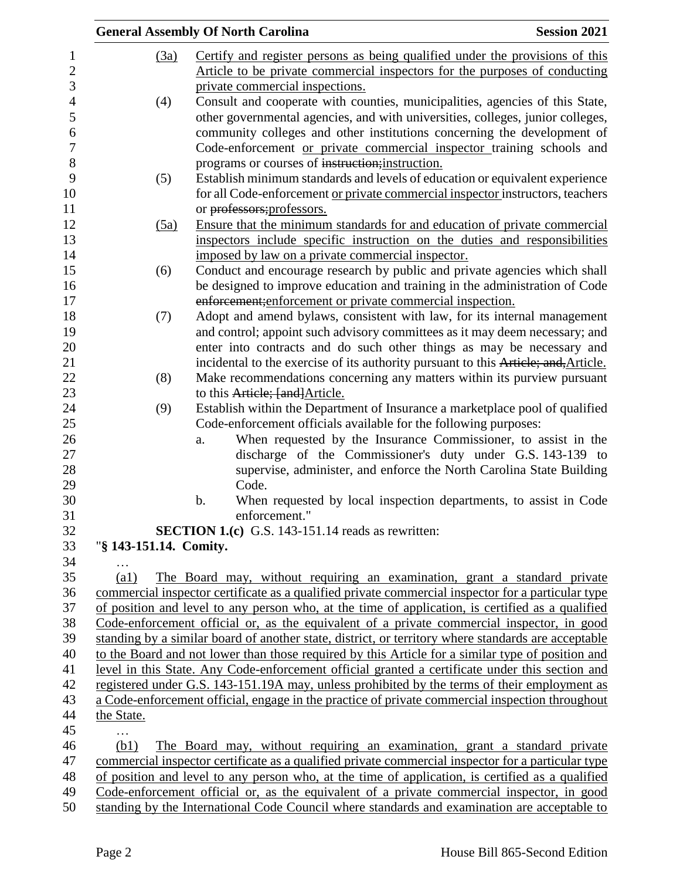|                         | <b>General Assembly Of North Carolina</b>                                                                                 | <b>Session 2021</b> |
|-------------------------|---------------------------------------------------------------------------------------------------------------------------|---------------------|
| (3a)                    | Certify and register persons as being qualified under the provisions of this                                              |                     |
|                         | Article to be private commercial inspectors for the purposes of conducting                                                |                     |
|                         | private commercial inspections.                                                                                           |                     |
| (4)                     | Consult and cooperate with counties, municipalities, agencies of this State,                                              |                     |
|                         | other governmental agencies, and with universities, colleges, junior colleges,                                            |                     |
|                         | community colleges and other institutions concerning the development of                                                   |                     |
|                         |                                                                                                                           |                     |
|                         | Code-enforcement or private commercial inspector training schools and<br>programs or courses of instruction; instruction. |                     |
|                         |                                                                                                                           |                     |
| (5)                     | Establish minimum standards and levels of education or equivalent experience                                              |                     |
|                         | for all Code-enforcement or private commercial inspector instructors, teachers                                            |                     |
|                         | or professors; professors.                                                                                                |                     |
| (5a)                    | Ensure that the minimum standards for and education of private commercial                                                 |                     |
|                         | inspectors include specific instruction on the duties and responsibilities                                                |                     |
|                         | imposed by law on a private commercial inspector.                                                                         |                     |
| (6)                     | Conduct and encourage research by public and private agencies which shall                                                 |                     |
|                         | be designed to improve education and training in the administration of Code                                               |                     |
|                         | enforcement; enforcement or private commercial inspection.                                                                |                     |
| (7)                     | Adopt and amend bylaws, consistent with law, for its internal management                                                  |                     |
|                         | and control; appoint such advisory committees as it may deem necessary; and                                               |                     |
|                         | enter into contracts and do such other things as may be necessary and                                                     |                     |
|                         | incidental to the exercise of its authority pursuant to this Article; and, Article.                                       |                     |
| (8)                     | Make recommendations concerning any matters within its purview pursuant                                                   |                     |
|                         | to this Article; [and] Article.                                                                                           |                     |
| (9)                     | Establish within the Department of Insurance a marketplace pool of qualified                                              |                     |
|                         | Code-enforcement officials available for the following purposes:                                                          |                     |
|                         | When requested by the Insurance Commissioner, to assist in the<br>a.                                                      |                     |
|                         | discharge of the Commissioner's duty under G.S. 143-139 to                                                                |                     |
|                         | supervise, administer, and enforce the North Carolina State Building<br>Code.                                             |                     |
|                         |                                                                                                                           |                     |
|                         | When requested by local inspection departments, to assist in Code<br>$\mathbf b$ .                                        |                     |
|                         | enforcement."<br><b>SECTION 1.(c)</b> G.S. 143-151.14 reads as rewritten:                                                 |                     |
| "§ 143-151.14. Comity.  |                                                                                                                           |                     |
|                         |                                                                                                                           |                     |
| .<br>$\left( a1\right)$ | The Board may, without requiring an examination, grant a standard private                                                 |                     |
|                         | commercial inspector certificate as a qualified private commercial inspector for a particular type                        |                     |
|                         | of position and level to any person who, at the time of application, is certified as a qualified                          |                     |
|                         | Code-enforcement official or, as the equivalent of a private commercial inspector, in good                                |                     |
|                         | standing by a similar board of another state, district, or territory where standards are acceptable                       |                     |
|                         | to the Board and not lower than those required by this Article for a similar type of position and                         |                     |
|                         | level in this State. Any Code-enforcement official granted a certificate under this section and                           |                     |
|                         | registered under G.S. 143-151.19A may, unless prohibited by the terms of their employment as                              |                     |
|                         | a Code-enforcement official, engage in the practice of private commercial inspection throughout                           |                     |
| the State.              |                                                                                                                           |                     |
|                         |                                                                                                                           |                     |
| .<br>(b1)               | The Board may, without requiring an examination, grant a standard private                                                 |                     |
|                         | commercial inspector certificate as a qualified private commercial inspector for a particular type                        |                     |
|                         | of position and level to any person who, at the time of application, is certified as a qualified                          |                     |
|                         | Code-enforcement official or, as the equivalent of a private commercial inspector, in good                                |                     |
|                         | standing by the International Code Council where standards and examination are acceptable to                              |                     |
|                         |                                                                                                                           |                     |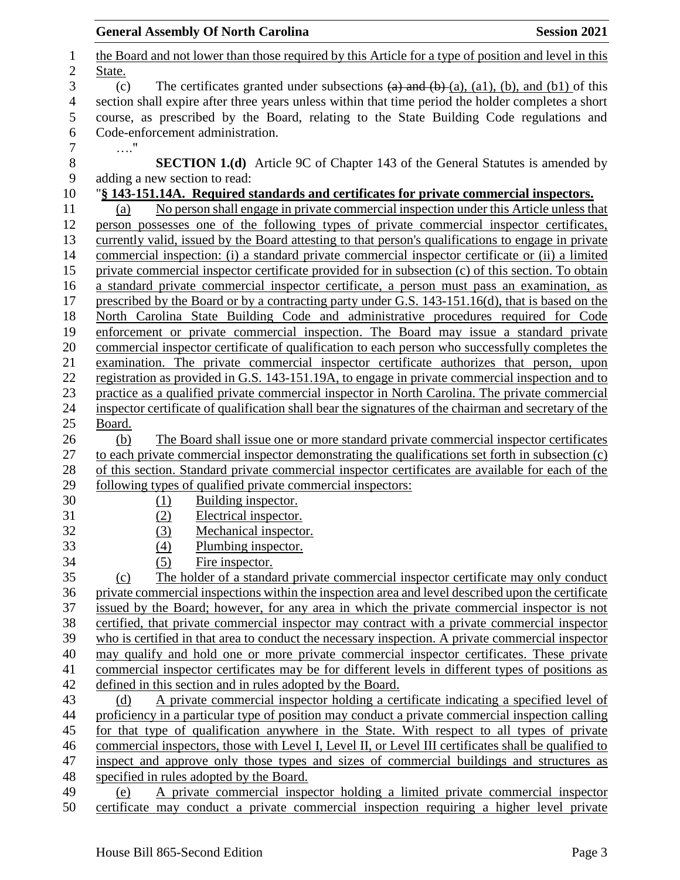| <b>General Assembly Of North Carolina</b>                                                                                            | <b>Session 2021</b> |
|--------------------------------------------------------------------------------------------------------------------------------------|---------------------|
| the Board and not lower than those required by this Article for a type of position and level in this                                 |                     |
| State.                                                                                                                               |                     |
| The certificates granted under subsections $(a)$ and $(b)$ $(a)$ , $(a)$ , $(b)$ , and $(b)$ of this<br>(c)                          |                     |
| section shall expire after three years unless within that time period the holder completes a short                                   |                     |
| course, as prescribed by the Board, relating to the State Building Code regulations and                                              |                     |
| Code-enforcement administration.                                                                                                     |                     |
| $\ldots$ "                                                                                                                           |                     |
| <b>SECTION 1.(d)</b> Article 9C of Chapter 143 of the General Statutes is amended by                                                 |                     |
| adding a new section to read:                                                                                                        |                     |
| "§ 143-151.14A. Required standards and certificates for private commercial inspectors.                                               |                     |
| No person shall engage in private commercial inspection under this Article unless that<br>(a)                                        |                     |
| person possesses one of the following types of private commercial inspector certificates,                                            |                     |
| currently valid, issued by the Board attesting to that person's qualifications to engage in private                                  |                     |
| commercial inspection: (i) a standard private commercial inspector certificate or (ii) a limited                                     |                     |
| private commercial inspector certificate provided for in subsection (c) of this section. To obtain                                   |                     |
| a standard private commercial inspector certificate, a person must pass an examination, as                                           |                     |
| prescribed by the Board or by a contracting party under G.S. 143-151.16(d), that is based on the                                     |                     |
| North Carolina State Building Code and administrative procedures required for Code                                                   |                     |
| enforcement or private commercial inspection. The Board may issue a standard private                                                 |                     |
| commercial inspector certificate of qualification to each person who successfully completes the                                      |                     |
| examination. The private commercial inspector certificate authorizes that person, upon                                               |                     |
| registration as provided in G.S. 143-151.19A, to engage in private commercial inspection and to                                      |                     |
| practice as a qualified private commercial inspector in North Carolina. The private commercial                                       |                     |
| inspector certificate of qualification shall bear the signatures of the chairman and secretary of the                                |                     |
| Board.                                                                                                                               |                     |
| The Board shall issue one or more standard private commercial inspector certificates<br>(b)                                          |                     |
| to each private commercial inspector demonstrating the qualifications set forth in subsection (c)                                    |                     |
| of this section. Standard private commercial inspector certificates are available for each of the                                    |                     |
| following types of qualified private commercial inspectors:                                                                          |                     |
| Building inspector.<br>(1)                                                                                                           |                     |
| Electrical inspector.<br>(2)                                                                                                         |                     |
| Mechanical inspector.<br><u>(3)</u>                                                                                                  |                     |
| (4)<br>Plumbing inspector.                                                                                                           |                     |
| Fire inspector.<br>(5)                                                                                                               |                     |
| The holder of a standard private commercial inspector certificate may only conduct<br>(c)                                            |                     |
| private commercial inspections within the inspection area and level described upon the certificate                                   |                     |
| issued by the Board; however, for any area in which the private commercial inspector is not                                          |                     |
| certified, that private commercial inspector may contract with a private commercial inspector                                        |                     |
| who is certified in that area to conduct the necessary inspection. A private commercial inspector                                    |                     |
| may qualify and hold one or more private commercial inspector certificates. These private                                            |                     |
| commercial inspector certificates may be for different levels in different types of positions as                                     |                     |
| defined in this section and in rules adopted by the Board.                                                                           |                     |
| A private commercial inspector holding a certificate indicating a specified level of<br>(d)                                          |                     |
| proficiency in a particular type of position may conduct a private commercial inspection calling                                     |                     |
| for that type of qualification anywhere in the State. With respect to all types of private                                           |                     |
| commercial inspectors, those with Level I, Level II, or Level III certificates shall be qualified to                                 |                     |
| inspect and approve only those types and sizes of commercial buildings and structures as<br>specified in rules adopted by the Board. |                     |
| A private commercial inspector holding a limited private commercial inspector<br>(e)                                                 |                     |
| certificate may conduct a private commercial inspection requiring a higher level private                                             |                     |
|                                                                                                                                      |                     |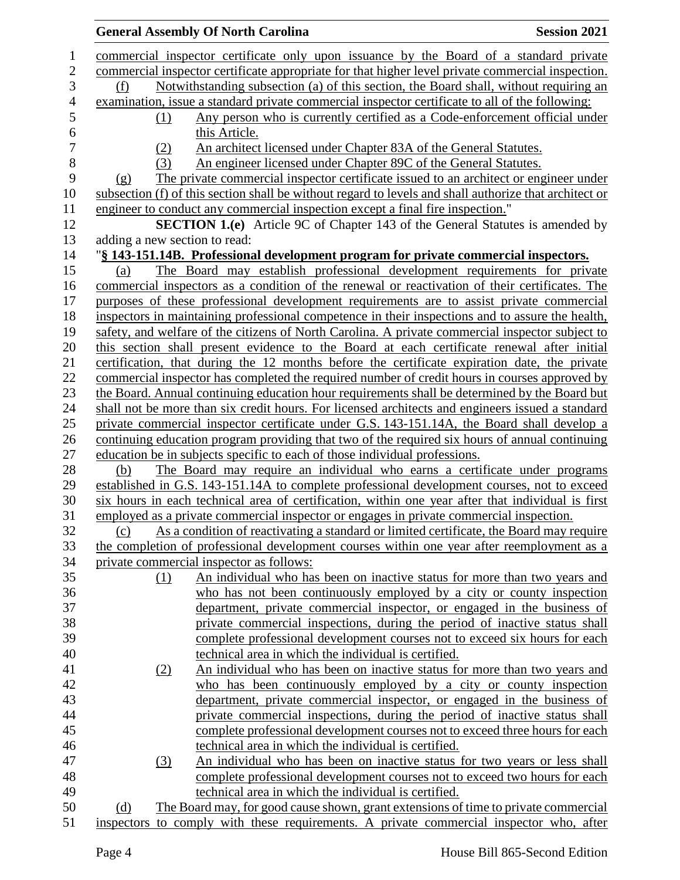|                |                               | <b>General Assembly Of North Carolina</b>                                                              | <b>Session 2021</b> |
|----------------|-------------------------------|--------------------------------------------------------------------------------------------------------|---------------------|
| 1              |                               | commercial inspector certificate only upon issuance by the Board of a standard private                 |                     |
| $\overline{2}$ |                               | commercial inspector certificate appropriate for that higher level private commercial inspection.      |                     |
| 3              | (f)                           | Notwithstanding subsection (a) of this section, the Board shall, without requiring an                  |                     |
| $\overline{4}$ |                               | examination, issue a standard private commercial inspector certificate to all of the following:        |                     |
| 5              | (1)                           | Any person who is currently certified as a Code-enforcement official under                             |                     |
| 6              |                               | this Article.                                                                                          |                     |
| $\overline{7}$ | (2)                           | An architect licensed under Chapter 83A of the General Statutes.                                       |                     |
| 8              | (3)                           | An engineer licensed under Chapter 89C of the General Statutes.                                        |                     |
| 9              | (g)                           | The private commercial inspector certificate issued to an architect or engineer under                  |                     |
| 10             |                               | subsection (f) of this section shall be without regard to levels and shall authorize that architect or |                     |
| 11             |                               | engineer to conduct any commercial inspection except a final fire inspection."                         |                     |
| 12             |                               | <b>SECTION 1.(e)</b> Article 9C of Chapter 143 of the General Statutes is amended by                   |                     |
| 13             | adding a new section to read: |                                                                                                        |                     |
| 14             |                               | "§ 143-151.14B. Professional development program for private commercial inspectors.                    |                     |
| 15             | (a)                           | The Board may establish professional development requirements for private                              |                     |
| 16             |                               | commercial inspectors as a condition of the renewal or reactivation of their certificates. The         |                     |
| 17             |                               | purposes of these professional development requirements are to assist private commercial               |                     |
| 18             |                               | inspectors in maintaining professional competence in their inspections and to assure the health,       |                     |
| 19             |                               | safety, and welfare of the citizens of North Carolina. A private commercial inspector subject to       |                     |
| 20             |                               | this section shall present evidence to the Board at each certificate renewal after initial             |                     |
| 21             |                               | certification, that during the 12 months before the certificate expiration date, the private           |                     |
| 22             |                               | commercial inspector has completed the required number of credit hours in courses approved by          |                     |
| 23             |                               | the Board. Annual continuing education hour requirements shall be determined by the Board but          |                     |
| 24             |                               | shall not be more than six credit hours. For licensed architects and engineers issued a standard       |                     |
| 25             |                               | private commercial inspector certificate under G.S. 143-151.14A, the Board shall develop a             |                     |
| 26             |                               | continuing education program providing that two of the required six hours of annual continuing         |                     |
| 27             |                               | education be in subjects specific to each of those individual professions.                             |                     |
| 28             | (b)                           | The Board may require an individual who earns a certificate under programs                             |                     |
| 29             |                               | established in G.S. 143-151.14A to complete professional development courses, not to exceed            |                     |
| 30             |                               | six hours in each technical area of certification, within one year after that individual is first      |                     |
| 31             |                               | employed as a private commercial inspector or engages in private commercial inspection.                |                     |
| 32             | (c)                           | As a condition of reactivating a standard or limited certificate, the Board may require                |                     |
| 33             |                               | the completion of professional development courses within one year after reemployment as a             |                     |
| 34             |                               | private commercial inspector as follows:                                                               |                     |
| 35             | (1)                           | An individual who has been on inactive status for more than two years and                              |                     |
| 36             |                               | who has not been continuously employed by a city or county inspection                                  |                     |
| 37             |                               | department, private commercial inspector, or engaged in the business of                                |                     |
| 38             |                               | private commercial inspections, during the period of inactive status shall                             |                     |
| 39             |                               | complete professional development courses not to exceed six hours for each                             |                     |
| 40             |                               | technical area in which the individual is certified.                                                   |                     |
| 41             | (2)                           | An individual who has been on inactive status for more than two years and                              |                     |
| 42             |                               | who has been continuously employed by a city or county inspection                                      |                     |
| 43             |                               | department, private commercial inspector, or engaged in the business of                                |                     |
| 44             |                               | private commercial inspections, during the period of inactive status shall                             |                     |
| 45             |                               | complete professional development courses not to exceed three hours for each                           |                     |
| 46             |                               | technical area in which the individual is certified.                                                   |                     |
| 47             | (3)                           | An individual who has been on inactive status for two years or less shall                              |                     |
| 48             |                               | complete professional development courses not to exceed two hours for each                             |                     |
| 49             |                               | technical area in which the individual is certified.                                                   |                     |
| 50             | (d)                           | The Board may, for good cause shown, grant extensions of time to private commercial                    |                     |
| 51             |                               | inspectors to comply with these requirements. A private commercial inspector who, after                |                     |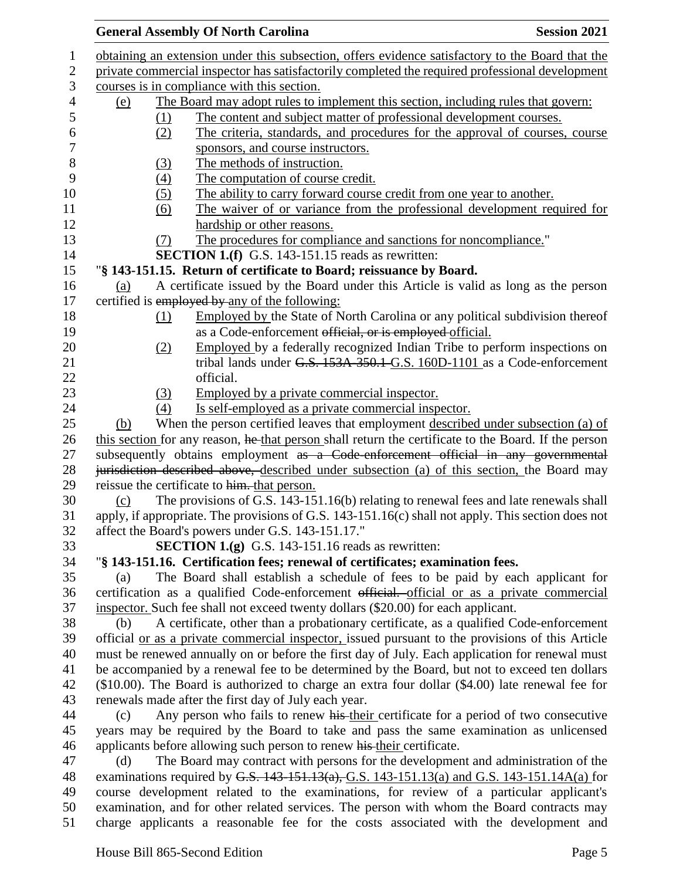|     |     | <b>General Assembly Of North Carolina</b>                                                            | <b>Session 2021</b> |
|-----|-----|------------------------------------------------------------------------------------------------------|---------------------|
|     |     | obtaining an extension under this subsection, offers evidence satisfactory to the Board that the     |                     |
|     |     | private commercial inspector has satisfactorily completed the required professional development      |                     |
|     |     | courses is in compliance with this section.                                                          |                     |
| (e) |     | The Board may adopt rules to implement this section, including rules that govern:                    |                     |
|     | (1) | The content and subject matter of professional development courses.                                  |                     |
|     | (2) | The criteria, standards, and procedures for the approval of courses, course                          |                     |
|     |     | sponsors, and course instructors.                                                                    |                     |
|     | (3) | The methods of instruction.                                                                          |                     |
|     | (4) | The computation of course credit.                                                                    |                     |
|     | (5) | The ability to carry forward course credit from one year to another.                                 |                     |
|     | (6) | The waiver of or variance from the professional development required for                             |                     |
|     |     | hardship or other reasons.                                                                           |                     |
|     | (7) | The procedures for compliance and sanctions for noncompliance."                                      |                     |
|     |     | <b>SECTION 1.(f)</b> G.S. 143-151.15 reads as rewritten:                                             |                     |
|     |     | "§ 143-151.15. Return of certificate to Board; reissuance by Board.                                  |                     |
| (a) |     | A certificate issued by the Board under this Article is valid as long as the person                  |                     |
|     |     | certified is employed by any of the following:                                                       |                     |
|     | (1) | Employed by the State of North Carolina or any political subdivision thereof                         |                     |
|     |     | as a Code-enforcement official, or is employed official.                                             |                     |
|     | (2) | Employed by a federally recognized Indian Tribe to perform inspections on                            |                     |
|     |     | tribal lands under G.S. 153A-350.1-G.S. 160D-1101 as a Code-enforcement                              |                     |
|     |     | official.                                                                                            |                     |
|     | (3) | Employed by a private commercial inspector.                                                          |                     |
|     | (4) | Is self-employed as a private commercial inspector.                                                  |                     |
| (b) |     | When the person certified leaves that employment described under subsection (a) of                   |                     |
|     |     | this section for any reason, he that person shall return the certificate to the Board. If the person |                     |
|     |     | subsequently obtains employment as a Code-enforcement official in any governmental                   |                     |
|     |     | jurisdiction described above, described under subsection (a) of this section, the Board may          |                     |
|     |     | reissue the certificate to him. that person.                                                         |                     |
| (c) |     | The provisions of G.S. 143-151.16(b) relating to renewal fees and late renewals shall                |                     |
|     |     | apply, if appropriate. The provisions of G.S. 143-151.16(c) shall not apply. This section does not   |                     |
|     |     | affect the Board's powers under G.S. 143-151.17."                                                    |                     |
|     |     | <b>SECTION 1.(g)</b> G.S. 143-151.16 reads as rewritten:                                             |                     |
|     |     | "§ 143-151.16. Certification fees; renewal of certificates; examination fees.                        |                     |
| (a) |     | The Board shall establish a schedule of fees to be paid by each applicant for                        |                     |
|     |     | certification as a qualified Code-enforcement official. official or as a private commercial          |                     |
|     |     | inspector. Such fee shall not exceed twenty dollars (\$20.00) for each applicant.                    |                     |
| (b) |     | A certificate, other than a probationary certificate, as a qualified Code-enforcement                |                     |
|     |     | official or as a private commercial inspector, issued pursuant to the provisions of this Article     |                     |
|     |     | must be renewed annually on or before the first day of July. Each application for renewal must       |                     |
|     |     | be accompanied by a renewal fee to be determined by the Board, but not to exceed ten dollars         |                     |
|     |     | (\$10.00). The Board is authorized to charge an extra four dollar (\$4.00) late renewal fee for      |                     |
|     |     | renewals made after the first day of July each year.                                                 |                     |
| (c) |     | Any person who fails to renew his their certificate for a period of two consecutive                  |                     |
|     |     | years may be required by the Board to take and pass the same examination as unlicensed               |                     |
|     |     | applicants before allowing such person to renew his their certificate.                               |                     |
| (d) |     | The Board may contract with persons for the development and administration of the                    |                     |
|     |     | examinations required by G.S. $143-151.13(a)$ , G.S. $143-151.13(a)$ and G.S. $143-151.14A(a)$ for   |                     |
|     |     | course development related to the examinations, for review of a particular applicant's               |                     |
|     |     | examination, and for other related services. The person with whom the Board contracts may            |                     |
|     |     | charge applicants a reasonable fee for the costs associated with the development and                 |                     |
|     |     |                                                                                                      |                     |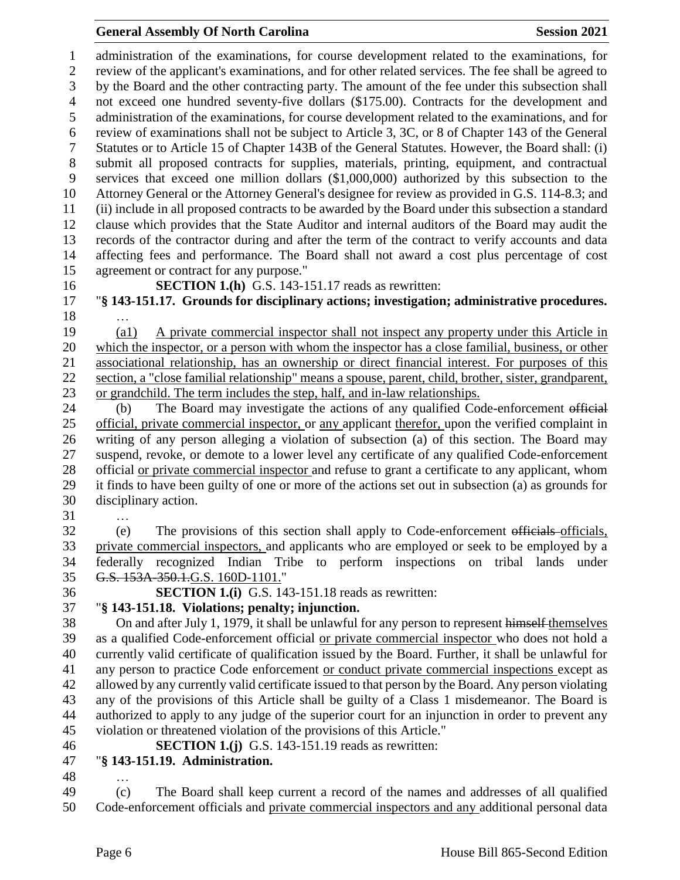#### **General Assembly Of North Carolina Session 2021**

 administration of the examinations, for course development related to the examinations, for review of the applicant's examinations, and for other related services. The fee shall be agreed to by the Board and the other contracting party. The amount of the fee under this subsection shall not exceed one hundred seventy-five dollars (\$175.00). Contracts for the development and administration of the examinations, for course development related to the examinations, and for review of examinations shall not be subject to Article 3, 3C, or 8 of Chapter 143 of the General Statutes or to Article 15 of Chapter 143B of the General Statutes. However, the Board shall: (i) submit all proposed contracts for supplies, materials, printing, equipment, and contractual services that exceed one million dollars (\$1,000,000) authorized by this subsection to the Attorney General or the Attorney General's designee for review as provided in G.S. 114-8.3; and (ii) include in all proposed contracts to be awarded by the Board under this subsection a standard clause which provides that the State Auditor and internal auditors of the Board may audit the records of the contractor during and after the term of the contract to verify accounts and data affecting fees and performance. The Board shall not award a cost plus percentage of cost agreement or contract for any purpose."

**SECTION 1.(h)** G.S. 143-151.17 reads as rewritten:

 "**§ 143-151.17. Grounds for disciplinary actions; investigation; administrative procedures.** …

 (a1) A private commercial inspector shall not inspect any property under this Article in which the inspector, or a person with whom the inspector has a close familial, business, or other associational relationship, has an ownership or direct financial interest. For purposes of this section, a "close familial relationship" means a spouse, parent, child, brother, sister, grandparent, or grandchild. The term includes the step, half, and in-law relationships.

24 (b) The Board may investigate the actions of any qualified Code-enforcement official official, private commercial inspector, or any applicant therefor, upon the verified complaint in writing of any person alleging a violation of subsection (a) of this section. The Board may suspend, revoke, or demote to a lower level any certificate of any qualified Code-enforcement official or private commercial inspector and refuse to grant a certificate to any applicant, whom it finds to have been guilty of one or more of the actions set out in subsection (a) as grounds for disciplinary action.

…

 (e) The provisions of this section shall apply to Code-enforcement officials officials, private commercial inspectors, and applicants who are employed or seek to be employed by a federally recognized Indian Tribe to perform inspections on tribal lands under G.S. 153A-350.1.G.S. 160D-1101."

# **SECTION 1.(i)** G.S. 143-151.18 reads as rewritten:

 "**§ 143-151.18. Violations; penalty; injunction.** On and after July 1, 1979, it shall be unlawful for any person to represent himself themselves

 as a qualified Code-enforcement official or private commercial inspector who does not hold a currently valid certificate of qualification issued by the Board. Further, it shall be unlawful for any person to practice Code enforcement or conduct private commercial inspections except as allowed by any currently valid certificate issued to that person by the Board. Any person violating any of the provisions of this Article shall be guilty of a Class 1 misdemeanor. The Board is authorized to apply to any judge of the superior court for an injunction in order to prevent any violation or threatened violation of the provisions of this Article."

**SECTION 1.(j)** G.S. 143-151.19 reads as rewritten:

- "**§ 143-151.19. Administration.**
- …

 (c) The Board shall keep current a record of the names and addresses of all qualified Code-enforcement officials and private commercial inspectors and any additional personal data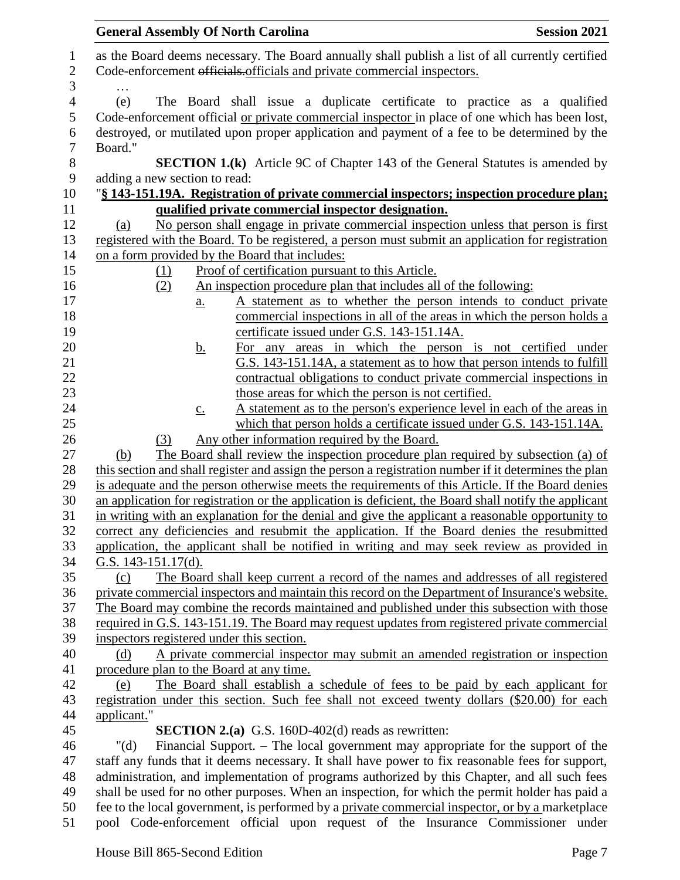|                | <b>General Assembly Of North Carolina</b><br><b>Session 2021</b>                                      |
|----------------|-------------------------------------------------------------------------------------------------------|
| $\mathbf{1}$   | as the Board deems necessary. The Board annually shall publish a list of all currently certified      |
| $\mathbf{2}$   | Code-enforcement officials.officials and private commercial inspectors.                               |
| 3              |                                                                                                       |
| $\overline{4}$ | (e)<br>The Board shall issue a duplicate certificate to practice as a qualified                       |
| 5              | Code-enforcement official <u>or private commercial inspector</u> in place of one which has been lost, |
| 6              | destroyed, or mutilated upon proper application and payment of a fee to be determined by the          |
| $\tau$         | Board."                                                                                               |
| 8              | <b>SECTION 1.(k)</b> Article 9C of Chapter 143 of the General Statutes is amended by                  |
| $\mathbf{9}$   | adding a new section to read:                                                                         |
| 10             | "§ 143-151.19A. Registration of private commercial inspectors; inspection procedure plan;             |
| 11             | qualified private commercial inspector designation.                                                   |
| 12             | No person shall engage in private commercial inspection unless that person is first<br>(a)            |
| 13             | registered with the Board. To be registered, a person must submit an application for registration     |
| 14             | on a form provided by the Board that includes:                                                        |
| 15             | Proof of certification pursuant to this Article.<br>(1)                                               |
| 16             | An inspection procedure plan that includes all of the following:<br>(2)                               |
| 17             | A statement as to whether the person intends to conduct private<br>a.                                 |
| 18             | commercial inspections in all of the areas in which the person holds a                                |
| 19             | certificate issued under G.S. 143-151.14A.                                                            |
| 20             | For any areas in which the person is not certified under<br><u>b.</u>                                 |
| 21             | G.S. 143-151.14A, a statement as to how that person intends to fulfill                                |
| 22             | contractual obligations to conduct private commercial inspections in                                  |
| 23             | those areas for which the person is not certified.                                                    |
| 24             | A statement as to the person's experience level in each of the areas in<br>$\underline{c}$ .          |
| 25             | which that person holds a certificate issued under G.S. 143-151.14A.                                  |
| 26             | Any other information required by the Board.<br>(3)                                                   |
| 27             | The Board shall review the inspection procedure plan required by subsection (a) of<br>(b)             |
| 28             | this section and shall register and assign the person a registration number if it determines the plan |
| 29             | is adequate and the person otherwise meets the requirements of this Article. If the Board denies      |
| 30             | an application for registration or the application is deficient, the Board shall notify the applicant |
| 31             | in writing with an explanation for the denial and give the applicant a reasonable opportunity to      |
| 32             | correct any deficiencies and resubmit the application. If the Board denies the resubmitted            |
| 33             | application, the applicant shall be notified in writing and may seek review as provided in            |
| 34             | G.S. $143-151.17(d)$ .                                                                                |
| 35             | The Board shall keep current a record of the names and addresses of all registered<br>(c)             |
| 36             | private commercial inspectors and maintain this record on the Department of Insurance's website.      |
| 37             | The Board may combine the records maintained and published under this subsection with those           |
| 38             | required in G.S. 143-151.19. The Board may request updates from registered private commercial         |
| 39             | inspectors registered under this section.                                                             |
| 40             | A private commercial inspector may submit an amended registration or inspection<br>(d)                |
| 41             | procedure plan to the Board at any time.                                                              |
| 42             | The Board shall establish a schedule of fees to be paid by each applicant for<br>(e)                  |
| 43             | registration under this section. Such fee shall not exceed twenty dollars (\$20.00) for each          |
| 44             | applicant."                                                                                           |
| 45             | <b>SECTION 2.(a)</b> G.S. 160D-402(d) reads as rewritten:                                             |
| 46             | Financial Support. – The local government may appropriate for the support of the<br>" $(d)$           |
| 47             | staff any funds that it deems necessary. It shall have power to fix reasonable fees for support,      |
| 48             | administration, and implementation of programs authorized by this Chapter, and all such fees          |
| 49             | shall be used for no other purposes. When an inspection, for which the permit holder has paid a       |
| 50             | fee to the local government, is performed by a private commercial inspector, or by a marketplace      |
| 51             | pool Code-enforcement official upon request of the Insurance Commissioner under                       |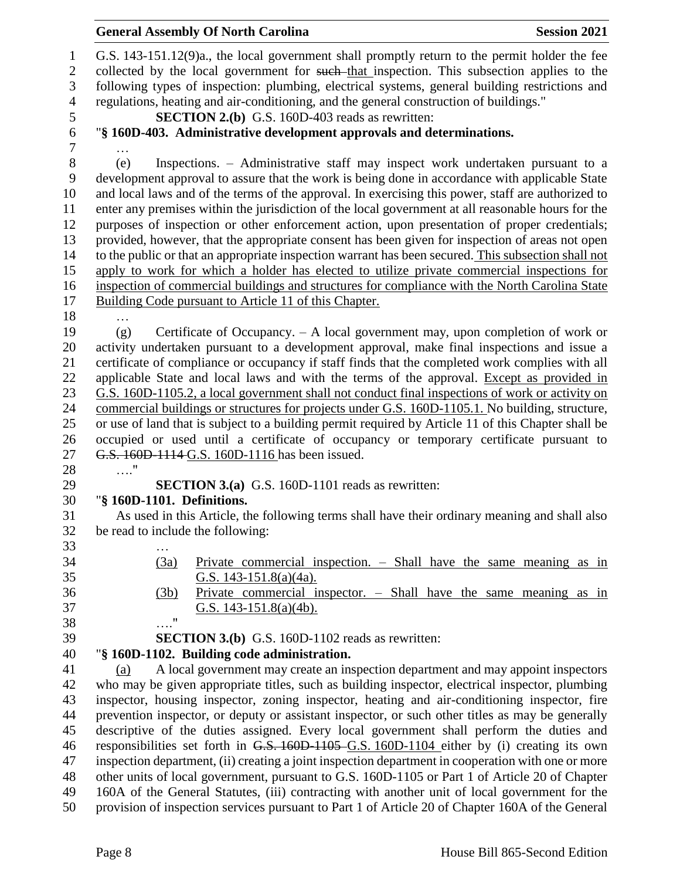|                                 | <b>General Assembly Of North Carolina</b>                                                                                                                                                                                                                                                     | <b>Session 2021</b> |  |  |  |  |
|---------------------------------|-----------------------------------------------------------------------------------------------------------------------------------------------------------------------------------------------------------------------------------------------------------------------------------------------|---------------------|--|--|--|--|
| $\mathbf{1}$<br>$\sqrt{2}$<br>3 | G.S. 143-151.12(9)a., the local government shall promptly return to the permit holder the fee<br>collected by the local government for such-that inspection. This subsection applies to the<br>following types of inspection: plumbing, electrical systems, general building restrictions and |                     |  |  |  |  |
| $\overline{4}$                  | regulations, heating and air-conditioning, and the general construction of buildings."                                                                                                                                                                                                        |                     |  |  |  |  |
| 5                               | <b>SECTION 2.(b)</b> G.S. 160D-403 reads as rewritten:                                                                                                                                                                                                                                        |                     |  |  |  |  |
| 6                               | "§ 160D-403. Administrative development approvals and determinations.                                                                                                                                                                                                                         |                     |  |  |  |  |
| 7                               |                                                                                                                                                                                                                                                                                               |                     |  |  |  |  |
| $8\,$<br>9                      | Inspections. – Administrative staff may inspect work undertaken pursuant to a<br>(e)<br>development approval to assure that the work is being done in accordance with applicable State                                                                                                        |                     |  |  |  |  |
| 10                              | and local laws and of the terms of the approval. In exercising this power, staff are authorized to                                                                                                                                                                                            |                     |  |  |  |  |
| 11                              | enter any premises within the jurisdiction of the local government at all reasonable hours for the                                                                                                                                                                                            |                     |  |  |  |  |
| 12                              | purposes of inspection or other enforcement action, upon presentation of proper credentials;                                                                                                                                                                                                  |                     |  |  |  |  |
| 13                              | provided, however, that the appropriate consent has been given for inspection of areas not open                                                                                                                                                                                               |                     |  |  |  |  |
| 14                              | to the public or that an appropriate inspection warrant has been secured. This subsection shall not                                                                                                                                                                                           |                     |  |  |  |  |
| 15                              | apply to work for which a holder has elected to utilize private commercial inspections for                                                                                                                                                                                                    |                     |  |  |  |  |
| 16                              | inspection of commercial buildings and structures for compliance with the North Carolina State                                                                                                                                                                                                |                     |  |  |  |  |
| 17                              | Building Code pursuant to Article 11 of this Chapter.                                                                                                                                                                                                                                         |                     |  |  |  |  |
| 18                              |                                                                                                                                                                                                                                                                                               |                     |  |  |  |  |
| 19                              | Certificate of Occupancy. $- A$ local government may, upon completion of work or<br>(g)                                                                                                                                                                                                       |                     |  |  |  |  |
| 20                              | activity undertaken pursuant to a development approval, make final inspections and issue a                                                                                                                                                                                                    |                     |  |  |  |  |
| 21                              | certificate of compliance or occupancy if staff finds that the completed work complies with all                                                                                                                                                                                               |                     |  |  |  |  |
| 22                              | applicable State and local laws and with the terms of the approval. Except as provided in                                                                                                                                                                                                     |                     |  |  |  |  |
| 23                              | G.S. 160D-1105.2, a local government shall not conduct final inspections of work or activity on                                                                                                                                                                                               |                     |  |  |  |  |
| 24                              | commercial buildings or structures for projects under G.S. 160D-1105.1. No building, structure,                                                                                                                                                                                               |                     |  |  |  |  |
| 25                              | or use of land that is subject to a building permit required by Article 11 of this Chapter shall be                                                                                                                                                                                           |                     |  |  |  |  |
| 26<br>27                        | occupied or used until a certificate of occupancy or temporary certificate pursuant to<br>G.S. 160D-1114-G.S. 160D-1116 has been issued.                                                                                                                                                      |                     |  |  |  |  |
| 28                              | $\ldots$ "                                                                                                                                                                                                                                                                                    |                     |  |  |  |  |
| 29                              | <b>SECTION 3.(a)</b> G.S. 160D-1101 reads as rewritten:                                                                                                                                                                                                                                       |                     |  |  |  |  |
| 30                              | "§ 160D-1101. Definitions.                                                                                                                                                                                                                                                                    |                     |  |  |  |  |
| 31                              | As used in this Article, the following terms shall have their ordinary meaning and shall also                                                                                                                                                                                                 |                     |  |  |  |  |
| 32                              | be read to include the following:                                                                                                                                                                                                                                                             |                     |  |  |  |  |
| 33                              |                                                                                                                                                                                                                                                                                               |                     |  |  |  |  |
| 34                              | Private commercial inspection. – Shall have the same meaning as in<br>(3a)                                                                                                                                                                                                                    |                     |  |  |  |  |
| 35                              | G.S. 143-151.8(a)(4a).                                                                                                                                                                                                                                                                        |                     |  |  |  |  |
| 36                              | Private commercial inspector. $-$ Shall have the same meaning as in<br>(3b)                                                                                                                                                                                                                   |                     |  |  |  |  |
| 37                              | G.S. $143-151.8(a)(4b)$ .                                                                                                                                                                                                                                                                     |                     |  |  |  |  |
| 38                              | $\ldots$ "                                                                                                                                                                                                                                                                                    |                     |  |  |  |  |
| 39                              | <b>SECTION 3.(b)</b> G.S. 160D-1102 reads as rewritten:                                                                                                                                                                                                                                       |                     |  |  |  |  |
| 40                              | "§ 160D-1102. Building code administration.                                                                                                                                                                                                                                                   |                     |  |  |  |  |
| 41                              | A local government may create an inspection department and may appoint inspectors<br>(a)                                                                                                                                                                                                      |                     |  |  |  |  |
| 42                              | who may be given appropriate titles, such as building inspector, electrical inspector, plumbing                                                                                                                                                                                               |                     |  |  |  |  |
| 43                              | inspector, housing inspector, zoning inspector, heating and air-conditioning inspector, fire                                                                                                                                                                                                  |                     |  |  |  |  |
| 44                              | prevention inspector, or deputy or assistant inspector, or such other titles as may be generally                                                                                                                                                                                              |                     |  |  |  |  |
| 45                              | descriptive of the duties assigned. Every local government shall perform the duties and                                                                                                                                                                                                       |                     |  |  |  |  |
| 46                              | responsibilities set forth in G.S. 160D-1105 G.S. 160D-1104 either by (i) creating its own                                                                                                                                                                                                    |                     |  |  |  |  |
| 47                              | inspection department, (ii) creating a joint inspection department in cooperation with one or more                                                                                                                                                                                            |                     |  |  |  |  |
| 48                              | other units of local government, pursuant to G.S. 160D-1105 or Part 1 of Article 20 of Chapter                                                                                                                                                                                                |                     |  |  |  |  |
| 49                              | 160A of the General Statutes, (iii) contracting with another unit of local government for the                                                                                                                                                                                                 |                     |  |  |  |  |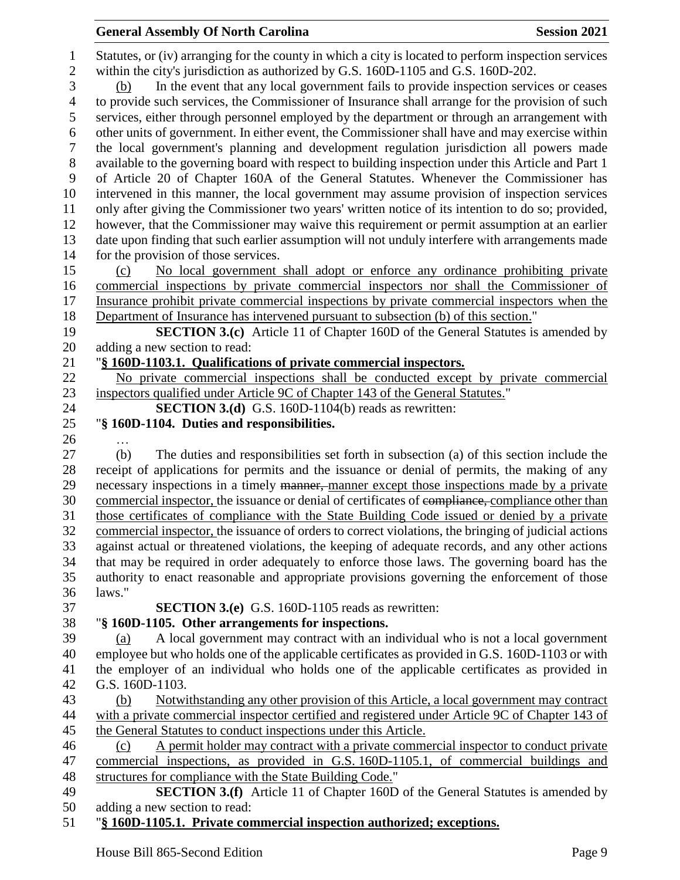Statutes, or (iv) arranging for the county in which a city is located to perform inspection services within the city's jurisdiction as authorized by G.S. 160D-1105 and G.S. 160D-202. (b) In the event that any local government fails to provide inspection services or ceases to provide such services, the Commissioner of Insurance shall arrange for the provision of such services, either through personnel employed by the department or through an arrangement with other units of government. In either event, the Commissioner shall have and may exercise within the local government's planning and development regulation jurisdiction all powers made available to the governing board with respect to building inspection under this Article and Part 1 of Article 20 of Chapter 160A of the General Statutes. Whenever the Commissioner has intervened in this manner, the local government may assume provision of inspection services only after giving the Commissioner two years' written notice of its intention to do so; provided, however, that the Commissioner may waive this requirement or permit assumption at an earlier date upon finding that such earlier assumption will not unduly interfere with arrangements made for the provision of those services. (c) No local government shall adopt or enforce any ordinance prohibiting private commercial inspections by private commercial inspectors nor shall the Commissioner of 17 Insurance prohibit private commercial inspections by private commercial inspectors when the Department of Insurance has intervened pursuant to subsection (b) of this section." **SECTION 3.(c)** Article 11 of Chapter 160D of the General Statutes is amended by adding a new section to read: "**§ 160D-1103.1. Qualifications of private commercial inspectors.** No private commercial inspections shall be conducted except by private commercial inspectors qualified under Article 9C of Chapter 143 of the General Statutes." **SECTION 3.(d)** G.S. 160D-1104(b) reads as rewritten: "**§ 160D-1104. Duties and responsibilities.** … (b) The duties and responsibilities set forth in subsection (a) of this section include the receipt of applications for permits and the issuance or denial of permits, the making of any 29 necessary inspections in a timely manner, manner except those inspections made by a private 30 commercial inspector, the issuance or denial of certificates of compliance, compliance other than those certificates of compliance with the State Building Code issued or denied by a private commercial inspector, the issuance of orders to correct violations, the bringing of judicial actions against actual or threatened violations, the keeping of adequate records, and any other actions that may be required in order adequately to enforce those laws. The governing board has the authority to enact reasonable and appropriate provisions governing the enforcement of those laws." **SECTION 3.(e)** G.S. 160D-1105 reads as rewritten: "**§ 160D-1105. Other arrangements for inspections.** (a) A local government may contract with an individual who is not a local government employee but who holds one of the applicable certificates as provided in G.S. 160D-1103 or with the employer of an individual who holds one of the applicable certificates as provided in G.S. 160D-1103. (b) Notwithstanding any other provision of this Article, a local government may contract with a private commercial inspector certified and registered under Article 9C of Chapter 143 of the General Statutes to conduct inspections under this Article. (c) A permit holder may contract with a private commercial inspector to conduct private commercial inspections, as provided in G.S. 160D-1105.1, of commercial buildings and structures for compliance with the State Building Code." **SECTION 3.(f)** Article 11 of Chapter 160D of the General Statutes is amended by adding a new section to read:

"**§ 160D-1105.1. Private commercial inspection authorized; exceptions.**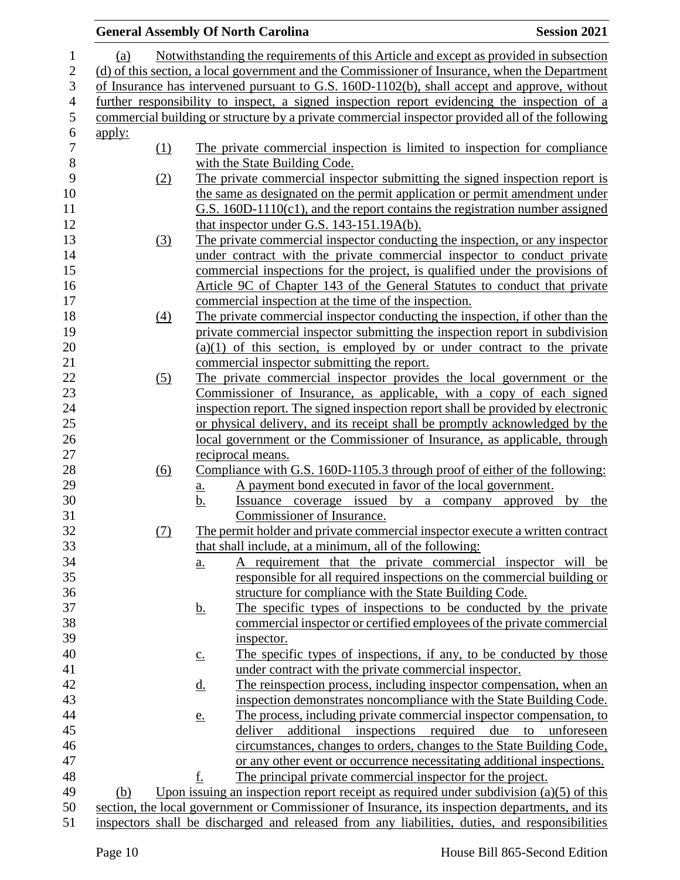|                |                                                                                                |          |                   | <b>General Assembly Of North Carolina</b>                                                        | <b>Session 2021</b>            |  |
|----------------|------------------------------------------------------------------------------------------------|----------|-------------------|--------------------------------------------------------------------------------------------------|--------------------------------|--|
| 1              | (a)                                                                                            |          |                   | Notwithstanding the requirements of this Article and except as provided in subsection            |                                |  |
| $\sqrt{2}$     | (d) of this section, a local government and the Commissioner of Insurance, when the Department |          |                   |                                                                                                  |                                |  |
| 3              | of Insurance has intervened pursuant to G.S. 160D-1102(b), shall accept and approve, without   |          |                   |                                                                                                  |                                |  |
| $\overline{4}$ |                                                                                                |          |                   | further responsibility to inspect, a signed inspection report evidencing the inspection of a     |                                |  |
| $\mathfrak{S}$ |                                                                                                |          |                   | commercial building or structure by a private commercial inspector provided all of the following |                                |  |
| $\sqrt{6}$     | <u>apply:</u>                                                                                  |          |                   |                                                                                                  |                                |  |
| $\overline{7}$ |                                                                                                | (1)      |                   | The private commercial inspection is limited to inspection for compliance                        |                                |  |
| $\,8\,$        |                                                                                                |          |                   | with the State Building Code.                                                                    |                                |  |
| 9              |                                                                                                | (2)      |                   | The private commercial inspector submitting the signed inspection report is                      |                                |  |
| 10             |                                                                                                |          |                   | the same as designated on the permit application or permit amendment under                       |                                |  |
| 11             |                                                                                                |          |                   | G.S. 160D-1110(c1), and the report contains the registration number assigned                     |                                |  |
| 12             |                                                                                                |          |                   | that inspector under G.S. 143-151.19A(b).                                                        |                                |  |
| 13             |                                                                                                | (3)      |                   | The private commercial inspector conducting the inspection, or any inspector                     |                                |  |
| 14             |                                                                                                |          |                   | under contract with the private commercial inspector to conduct private                          |                                |  |
| 15             |                                                                                                |          |                   | commercial inspections for the project, is qualified under the provisions of                     |                                |  |
| 16             |                                                                                                |          |                   | Article 9C of Chapter 143 of the General Statutes to conduct that private                        |                                |  |
| 17             |                                                                                                |          |                   | commercial inspection at the time of the inspection.                                             |                                |  |
| 18             |                                                                                                | $\Delta$ |                   | The private commercial inspector conducting the inspection, if other than the                    |                                |  |
| 19             |                                                                                                |          |                   | private commercial inspector submitting the inspection report in subdivision                     |                                |  |
| 20             |                                                                                                |          |                   | $(a)(1)$ of this section, is employed by or under contract to the private                        |                                |  |
| 21             |                                                                                                |          |                   | commercial inspector submitting the report.                                                      |                                |  |
| 22             |                                                                                                | (5)      |                   | The private commercial inspector provides the local government or the                            |                                |  |
| 23             |                                                                                                |          |                   | Commissioner of Insurance, as applicable, with a copy of each signed                             |                                |  |
| 24             |                                                                                                |          |                   | inspection report. The signed inspection report shall be provided by electronic                  |                                |  |
| 25             |                                                                                                |          |                   | or physical delivery, and its receipt shall be promptly acknowledged by the                      |                                |  |
| $26\,$         |                                                                                                |          |                   | local government or the Commissioner of Insurance, as applicable, through                        |                                |  |
| 27             |                                                                                                |          |                   | reciprocal means.                                                                                |                                |  |
| 28             |                                                                                                | (6)      |                   | Compliance with G.S. 160D-1105.3 through proof of either of the following:                       |                                |  |
| 29             |                                                                                                |          | <u>a.</u>         | A payment bond executed in favor of the local government.                                        |                                |  |
| 30             |                                                                                                |          | <u>b.</u>         | Issuance coverage issued by a company approved                                                   | $\mathbf{b} \mathbf{v}$<br>the |  |
| 31             |                                                                                                |          |                   | Commissioner of Insurance.                                                                       |                                |  |
| 32             |                                                                                                | (7)      |                   | The permit holder and private commercial inspector execute a written contract                    |                                |  |
| 33             |                                                                                                |          |                   | that shall include, at a minimum, all of the following:                                          |                                |  |
| 34             |                                                                                                |          | $\underline{a}$ . | requirement that the private commercial inspector will be                                        |                                |  |
| 35             |                                                                                                |          |                   | responsible for all required inspections on the commercial building or                           |                                |  |
| 36             |                                                                                                |          |                   | structure for compliance with the State Building Code.                                           |                                |  |
| 37             |                                                                                                |          | <u>b.</u>         | The specific types of inspections to be conducted by the private                                 |                                |  |
| 38             |                                                                                                |          |                   | commercial inspector or certified employees of the private commercial                            |                                |  |
| 39             |                                                                                                |          |                   | inspector.                                                                                       |                                |  |
| 40             |                                                                                                |          | $\underline{C}$ . | The specific types of inspections, if any, to be conducted by those                              |                                |  |
| 41             |                                                                                                |          |                   | under contract with the private commercial inspector.                                            |                                |  |
| 42             |                                                                                                |          | <u>d.</u>         | The reinspection process, including inspector compensation, when an                              |                                |  |
| 43             |                                                                                                |          |                   | inspection demonstrates noncompliance with the State Building Code.                              |                                |  |
| 44             |                                                                                                |          | e.                | The process, including private commercial inspector compensation, to                             |                                |  |
| 45             |                                                                                                |          |                   | additional inspections required due to<br>deliver                                                | unforeseen                     |  |
| 46             |                                                                                                |          |                   | circumstances, changes to orders, changes to the State Building Code,                            |                                |  |
| 47             |                                                                                                |          |                   | or any other event or occurrence necessitating additional inspections.                           |                                |  |
| 48             |                                                                                                |          | f.                | The principal private commercial inspector for the project.                                      |                                |  |
| 49             | (b)                                                                                            |          |                   | Upon issuing an inspection report receipt as required under subdivision $(a)(5)$ of this         |                                |  |
| 50             |                                                                                                |          |                   | section, the local government or Commissioner of Insurance, its inspection departments, and its  |                                |  |
| 51             |                                                                                                |          |                   | inspectors shall be discharged and released from any liabilities, duties, and responsibilities   |                                |  |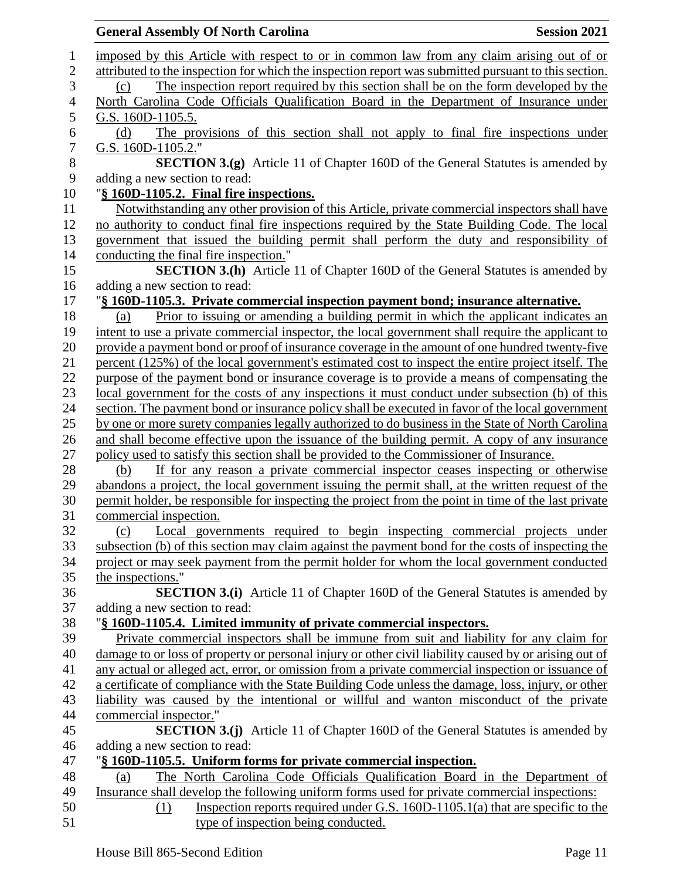|                | <b>Session 2021</b><br><b>General Assembly Of North Carolina</b>                                      |
|----------------|-------------------------------------------------------------------------------------------------------|
| $\mathbf 1$    | imposed by this Article with respect to or in common law from any claim arising out of or             |
| $\overline{2}$ | attributed to the inspection for which the inspection report was submitted pursuant to this section.  |
| 3              | The inspection report required by this section shall be on the form developed by the<br>(c)           |
| $\overline{4}$ | North Carolina Code Officials Qualification Board in the Department of Insurance under                |
| 5              | G.S. 160D-1105.5.                                                                                     |
| 6              | The provisions of this section shall not apply to final fire inspections under<br>(d)                 |
| $\overline{7}$ | G.S. 160D-1105.2."                                                                                    |
| $8\,$          | <b>SECTION 3.(g)</b> Article 11 of Chapter 160D of the General Statutes is amended by                 |
| 9              | adding a new section to read:                                                                         |
| 10             | "§ 160D-1105.2. Final fire inspections.                                                               |
| 11             | Notwithstanding any other provision of this Article, private commercial inspectors shall have         |
| 12             | no authority to conduct final fire inspections required by the State Building Code. The local         |
| 13             | government that issued the building permit shall perform the duty and responsibility of               |
| 14             | conducting the final fire inspection."                                                                |
| 15             | <b>SECTION 3.(h)</b> Article 11 of Chapter 160D of the General Statutes is amended by                 |
| 16             | adding a new section to read:                                                                         |
| 17             | "§ 160D-1105.3. Private commercial inspection payment bond; insurance alternative.                    |
| 18             | Prior to issuing or amending a building permit in which the applicant indicates an<br>(a)             |
| 19             | intent to use a private commercial inspector, the local government shall require the applicant to     |
| 20             | provide a payment bond or proof of insurance coverage in the amount of one hundred twenty-five        |
| 21             | percent (125%) of the local government's estimated cost to inspect the entire project itself. The     |
| 22             | purpose of the payment bond or insurance coverage is to provide a means of compensating the           |
| 23             | local government for the costs of any inspections it must conduct under subsection (b) of this        |
| 24             | section. The payment bond or insurance policy shall be executed in favor of the local government      |
| 25             | by one or more surety companies legally authorized to do business in the State of North Carolina      |
| 26             | and shall become effective upon the issuance of the building permit. A copy of any insurance          |
| 27             | policy used to satisfy this section shall be provided to the Commissioner of Insurance.               |
| 28             | If for any reason a private commercial inspector ceases inspecting or otherwise<br>(b)                |
| 29             | abandons a project, the local government issuing the permit shall, at the written request of the      |
| 30             | permit holder, be responsible for inspecting the project from the point in time of the last private   |
| 31             | commercial inspection.                                                                                |
| 32             | Local governments required to begin inspecting commercial projects under<br>(c)                       |
| 33             | subsection (b) of this section may claim against the payment bond for the costs of inspecting the     |
| 34             | project or may seek payment from the permit holder for whom the local government conducted            |
| 35             | the inspections."                                                                                     |
| 36             | <b>SECTION 3.(i)</b> Article 11 of Chapter 160D of the General Statutes is amended by                 |
| 37             | adding a new section to read:                                                                         |
| 38             | "§ 160D-1105.4. Limited immunity of private commercial inspectors.                                    |
| 39             | Private commercial inspectors shall be immune from suit and liability for any claim for               |
| 40             | damage to or loss of property or personal injury or other civil liability caused by or arising out of |
| 41             | any actual or alleged act, error, or omission from a private commercial inspection or issuance of     |
| 42             | a certificate of compliance with the State Building Code unless the damage, loss, injury, or other    |
| 43             | liability was caused by the intentional or willful and wanton misconduct of the private               |
| 44             | commercial inspector."                                                                                |
| 45             | <b>SECTION 3.(j)</b> Article 11 of Chapter 160D of the General Statutes is amended by                 |
| 46             | adding a new section to read:                                                                         |
| 47             | "§ 160D-1105.5. Uniform forms for private commercial inspection.                                      |
| 48             | The North Carolina Code Officials Qualification Board in the Department of<br>(a)                     |
| 49             | Insurance shall develop the following uniform forms used for private commercial inspections:          |
| 50             | Inspection reports required under G.S. $160D-1105.1(a)$ that are specific to the<br>(1)               |
| 51             | type of inspection being conducted.                                                                   |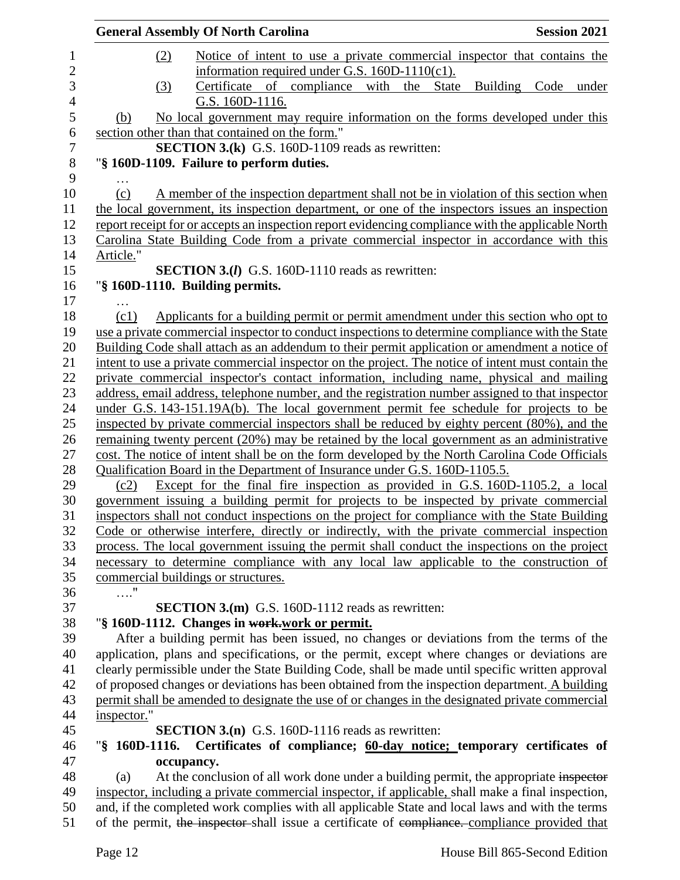|             | <b>General Assembly Of North Carolina</b>                                                          | <b>Session 2021</b> |
|-------------|----------------------------------------------------------------------------------------------------|---------------------|
|             | Notice of intent to use a private commercial inspector that contains the<br>(2)                    |                     |
|             | information required under G.S. $160D-1110(c1)$ .                                                  |                     |
|             | Certificate of compliance with the State<br>(3)                                                    | Building Code under |
|             | G.S. 160D-1116.                                                                                    |                     |
| (b)         | No local government may require information on the forms developed under this                      |                     |
|             | section other than that contained on the form."                                                    |                     |
|             | <b>SECTION 3.(k)</b> G.S. 160D-1109 reads as rewritten:                                            |                     |
|             | "§ 160D-1109. Failure to perform duties.                                                           |                     |
|             |                                                                                                    |                     |
| (c)         | A member of the inspection department shall not be in violation of this section when               |                     |
|             | the local government, its inspection department, or one of the inspectors issues an inspection     |                     |
|             | report receipt for or accepts an inspection report evidencing compliance with the applicable North |                     |
|             | Carolina State Building Code from a private commercial inspector in accordance with this           |                     |
| Article."   |                                                                                                    |                     |
|             | <b>SECTION 3.(I)</b> G.S. 160D-1110 reads as rewritten:                                            |                     |
|             | "§ 160D-1110. Building permits.                                                                    |                     |
| .           |                                                                                                    |                     |
| (c1)        | Applicants for a building permit or permit amendment under this section who opt to                 |                     |
|             | use a private commercial inspector to conduct inspections to determine compliance with the State   |                     |
|             | Building Code shall attach as an addendum to their permit application or amendment a notice of     |                     |
|             | intent to use a private commercial inspector on the project. The notice of intent must contain the |                     |
|             | private commercial inspector's contact information, including name, physical and mailing           |                     |
|             | address, email address, telephone number, and the registration number assigned to that inspector   |                     |
|             | under G.S. 143-151.19A(b). The local government permit fee schedule for projects to be             |                     |
|             | inspected by private commercial inspectors shall be reduced by eighty percent (80%), and the       |                     |
|             | remaining twenty percent (20%) may be retained by the local government as an administrative        |                     |
|             | cost. The notice of intent shall be on the form developed by the North Carolina Code Officials     |                     |
|             | Qualification Board in the Department of Insurance under G.S. 160D-1105.5.                         |                     |
| (c2)        | Except for the final fire inspection as provided in G.S. 160D-1105.2, a local                      |                     |
|             | government issuing a building permit for projects to be inspected by private commercial            |                     |
|             | inspectors shall not conduct inspections on the project for compliance with the State Building     |                     |
|             | Code or otherwise interfere, directly or indirectly, with the private commercial inspection        |                     |
|             | process. The local government issuing the permit shall conduct the inspections on the project      |                     |
|             | necessary to determine compliance with any local law applicable to the construction of             |                     |
|             | commercial buildings or structures.                                                                |                     |
| $\ldots$ "  |                                                                                                    |                     |
|             | <b>SECTION 3.(m)</b> G.S. 160D-1112 reads as rewritten:                                            |                     |
|             | "§ 160D-1112. Changes in work-work or permit.                                                      |                     |
|             | After a building permit has been issued, no changes or deviations from the terms of the            |                     |
|             | application, plans and specifications, or the permit, except where changes or deviations are       |                     |
|             | clearly permissible under the State Building Code, shall be made until specific written approval   |                     |
|             | of proposed changes or deviations has been obtained from the inspection department. A building     |                     |
|             | permit shall be amended to designate the use of or changes in the designated private commercial    |                     |
|             |                                                                                                    |                     |
| inspector." |                                                                                                    |                     |
|             | <b>SECTION 3.(n)</b> G.S. 160D-1116 reads as rewritten:                                            |                     |
|             | "§ 160D-1116. Certificates of compliance; 60-day notice; temporary certificates of                 |                     |
|             | occupancy.                                                                                         |                     |
| (a)         | At the conclusion of all work done under a building permit, the appropriate inspector              |                     |
|             | inspector, including a private commercial inspector, if applicable, shall make a final inspection, |                     |
|             | and, if the completed work complies with all applicable State and local laws and with the terms    |                     |
|             | of the permit, the inspector-shall issue a certificate of compliance. compliance provided that     |                     |